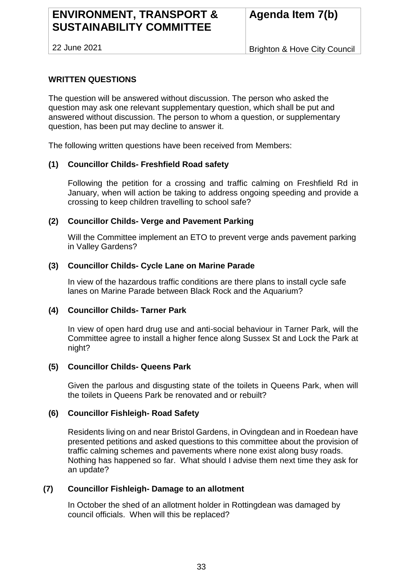# **ENVIRONMENT, TRANSPORT & SUSTAINABILITY COMMITTEE**

22 June 2021

Brighton & Hove City Council

# **WRITTEN QUESTIONS**

The question will be answered without discussion. The person who asked the question may ask one relevant supplementary question, which shall be put and answered without discussion. The person to whom a question, or supplementary question, has been put may decline to answer it.

The following written questions have been received from Members:

## **(1) Councillor Childs- Freshfield Road safety**

Following the petition for a crossing and traffic calming on Freshfield Rd in January, when will action be taking to address ongoing speeding and provide a crossing to keep children travelling to school safe?

## **(2) Councillor Childs- Verge and Pavement Parking**

Will the Committee implement an ETO to prevent verge ands pavement parking in Valley Gardens?

## **(3) Councillor Childs- Cycle Lane on Marine Parade**

In view of the hazardous traffic conditions are there plans to install cycle safe lanes on Marine Parade between Black Rock and the Aquarium?

#### **(4) Councillor Childs- Tarner Park**

In view of open hard drug use and anti-social behaviour in Tarner Park, will the Committee agree to install a higher fence along Sussex St and Lock the Park at night?

#### **(5) Councillor Childs- Queens Park**

Given the parlous and disgusting state of the toilets in Queens Park, when will the toilets in Queens Park be renovated and or rebuilt?

## **(6) Councillor Fishleigh- Road Safety**

Residents living on and near Bristol Gardens, in Ovingdean and in Roedean have presented petitions and asked questions to this committee about the provision of traffic calming schemes and pavements where none exist along busy roads. Nothing has happened so far. What should I advise them next time they ask for an update?

## **(7) Councillor Fishleigh- Damage to an allotment**

In October the shed of an allotment holder in Rottingdean was damaged by council officials. When will this be replaced?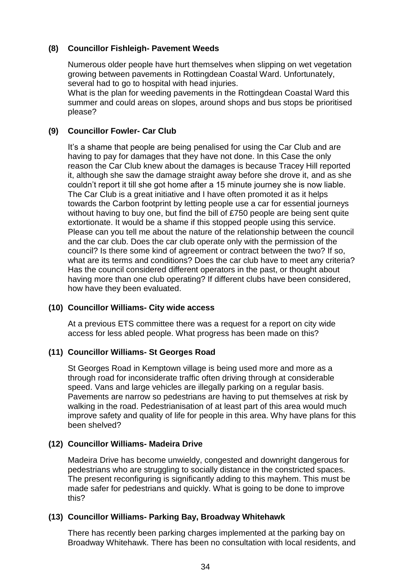# **(8) Councillor Fishleigh- Pavement Weeds**

Numerous older people have hurt themselves when slipping on wet vegetation growing between pavements in Rottingdean Coastal Ward. Unfortunately, several had to go to hospital with head injuries.

What is the plan for weeding pavements in the Rottingdean Coastal Ward this summer and could areas on slopes, around shops and bus stops be prioritised please?

# **(9) Councillor Fowler- Car Club**

It's a shame that people are being penalised for using the Car Club and are having to pay for damages that they have not done. In this Case the only reason the Car Club knew about the damages is because Tracey Hill reported it, although she saw the damage straight away before she drove it, and as she couldn't report it till she got home after a 15 minute journey she is now liable. The Car Club is a great initiative and I have often promoted it as it helps towards the Carbon footprint by letting people use a car for essential journeys without having to buy one, but find the bill of £750 people are being sent quite extortionate. It would be a shame if this stopped people using this service. Please can you tell me about the nature of the relationship between the council and the car club. Does the car club operate only with the permission of the council? Is there some kind of agreement or contract between the two? If so, what are its terms and conditions? Does the car club have to meet any criteria? Has the council considered different operators in the past, or thought about having more than one club operating? If different clubs have been considered, how have they been evaluated.

## **(10) Councillor Williams- City wide access**

At a previous ETS committee there was a request for a report on city wide access for less abled people. What progress has been made on this?

## **(11) Councillor Williams- St Georges Road**

St Georges Road in Kemptown village is being used more and more as a through road for inconsiderate traffic often driving through at considerable speed. Vans and large vehicles are illegally parking on a regular basis. Pavements are narrow so pedestrians are having to put themselves at risk by walking in the road. Pedestrianisation of at least part of this area would much improve safety and quality of life for people in this area. Why have plans for this been shelved?

## **(12) Councillor Williams- Madeira Drive**

Madeira Drive has become unwieldy, congested and downright dangerous for pedestrians who are struggling to socially distance in the constricted spaces. The present reconfiguring is significantly adding to this mayhem. This must be made safer for pedestrians and quickly. What is going to be done to improve this?

## **(13) Councillor Williams- Parking Bay, Broadway Whitehawk**

There has recently been parking charges implemented at the parking bay on Broadway Whitehawk. There has been no consultation with local residents, and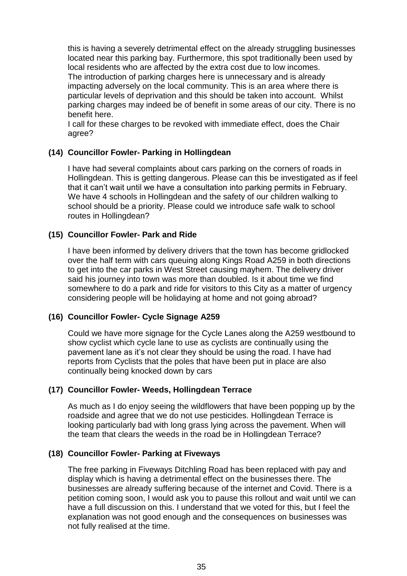this is having a severely detrimental effect on the already struggling businesses located near this parking bay. Furthermore, this spot traditionally been used by local residents who are affected by the extra cost due to low incomes. The introduction of parking charges here is unnecessary and is already impacting adversely on the local community. This is an area where there is particular levels of deprivation and this should be taken into account. Whilst parking charges may indeed be of benefit in some areas of our city. There is no benefit here.

I call for these charges to be revoked with immediate effect, does the Chair agree?

# **(14) Councillor Fowler- Parking in Hollingdean**

I have had several complaints about cars parking on the corners of roads in Hollingdean. This is getting dangerous. Please can this be investigated as if feel that it can't wait until we have a consultation into parking permits in February. We have 4 schools in Hollingdean and the safety of our children walking to school should be a priority. Please could we introduce safe walk to school routes in Hollingdean?

# **(15) Councillor Fowler- Park and Ride**

I have been informed by delivery drivers that the town has become gridlocked over the half term with cars queuing along Kings Road A259 in both directions to get into the car parks in West Street causing mayhem. The delivery driver said his journey into town was more than doubled. Is it about time we find somewhere to do a park and ride for visitors to this City as a matter of urgency considering people will be holidaying at home and not going abroad?

# **(16) Councillor Fowler- Cycle Signage A259**

Could we have more signage for the Cycle Lanes along the A259 westbound to show cyclist which cycle lane to use as cyclists are continually using the pavement lane as it's not clear they should be using the road. I have had reports from Cyclists that the poles that have been put in place are also continually being knocked down by cars

## **(17) Councillor Fowler- Weeds, Hollingdean Terrace**

As much as I do enjoy seeing the wildflowers that have been popping up by the roadside and agree that we do not use pesticides. Hollingdean Terrace is looking particularly bad with long grass lying across the pavement. When will the team that clears the weeds in the road be in Hollingdean Terrace?

## **(18) Councillor Fowler- Parking at Fiveways**

The free parking in Fiveways Ditchling Road has been replaced with pay and display which is having a detrimental effect on the businesses there. The businesses are already suffering because of the internet and Covid. There is a petition coming soon, I would ask you to pause this rollout and wait until we can have a full discussion on this. I understand that we voted for this, but I feel the explanation was not good enough and the consequences on businesses was not fully realised at the time.